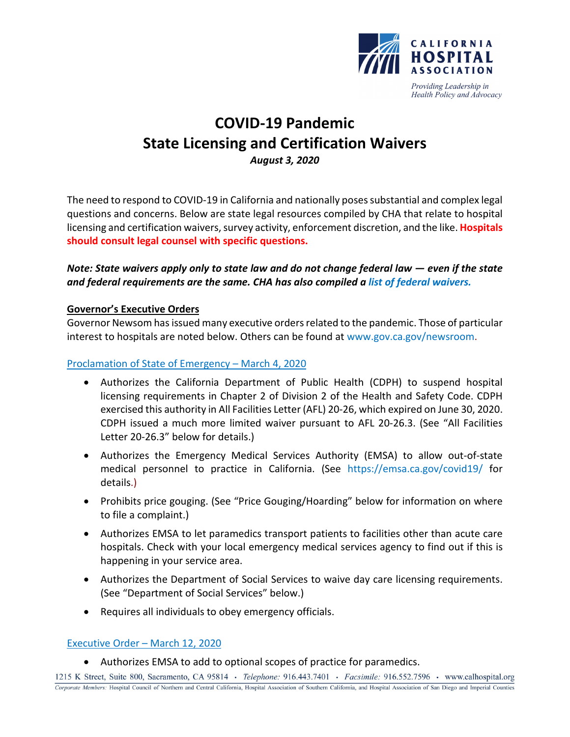

Providing Leadership in Health Policy and Advocacy

# **COVID-19 Pandemic State Licensing and Certification Waivers** *August 3, 2020*

The need to respond to COVID-19 in California and nationally poses substantial and complex legal questions and concerns. Below are state legal resources compiled by CHA that relate to hospital licensing and certification waivers, survey activity, enforcement discretion, and the like. **Hospitals should consult legal counsel with specific questions.** 

## *Note: State waivers apply only to state law and do not change federal law — even if the state and federal requirements are the same. CHA has also compiled a [list of federal waivers.](https://www.calhospital.org/sites/main/files/file-attachments/federal_waivers_8-4-20_final.pdf)*

#### **Governor's Executive Orders**

Governor Newsom has issued many executive orders related to the pandemic. Those of particular interest to hospitals are noted below. Others can be found a[t www.gov.ca.gov/newsroom.](http://www.gov.ca.gov/newsroom/)

#### [Proclamation of State of Emergency –](https://www.gov.ca.gov/wp-content/uploads/2020/03/3.4.20-Coronavirus-SOE-Proclamation.pdf) March 4, 2020

- Authorizes the California Department of Public Health (CDPH) to suspend hospital licensing requirements in Chapter 2 of Division 2 of the Health and Safety Code. CDPH exercised this authority in All Facilities Letter (AFL) 20-26, which expired on June 30, 2020. CDPH issued a much more limited waiver pursuant to AFL 20-26.3. (See "All Facilities Letter 20-26.3" below for details.)
- Authorizes the Emergency Medical Services Authority (EMSA) to allow out-of-state medical personnel to practice in California. (See <https://emsa.ca.gov/covid19/> for details.)
- Prohibits price gouging. (See "Price Gouging/Hoarding" below for information on where to file a complaint.)
- Authorizes EMSA to let paramedics transport patients to facilities other than acute care hospitals. Check with your local emergency medical services agency to find out if this is happening in your service area.
- Authorizes the Department of Social Services to waive day care licensing requirements. (See "Department of Social Services" below.)
- Requires all individuals to obey emergency officials.

#### [Executive Order –](https://www.gov.ca.gov/wp-content/uploads/2020/03/3.12.20-EO-N-25-20-COVID-19.pdf) March 12, 2020

• Authorizes EMSA to add to optional scopes of practice for paramedics.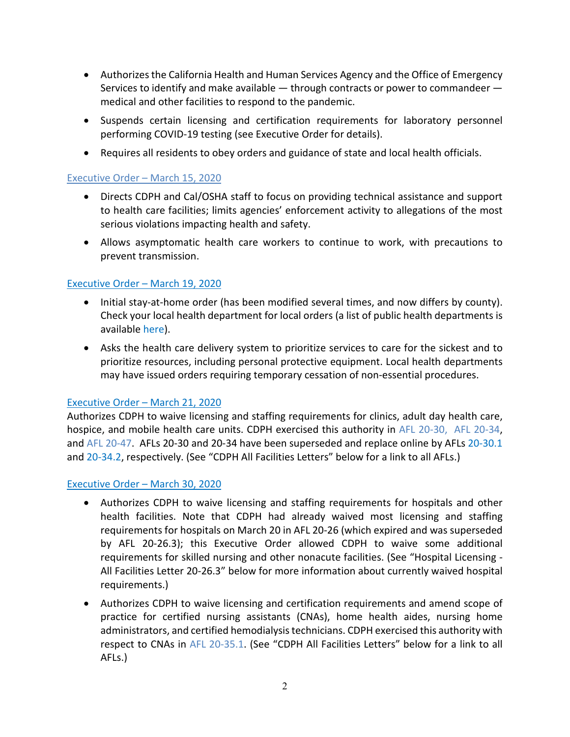- Authorizes the California Health and Human Services Agency and the Office of Emergency Services to identify and make available — through contracts or power to commandeer medical and other facilities to respond to the pandemic.
- Suspends certain licensing and certification requirements for laboratory personnel performing COVID-19 testing (see Executive Order for details).
- Requires all residents to obey orders and guidance of state and local health officials.

## [Executive Order –](https://www.gov.ca.gov/wp-content/uploads/2020/03/3.15.2020-COVID-19-Facilities.pdf) March 15, 2020

- Directs CDPH and Cal/OSHA staff to focus on providing technical assistance and support to health care facilities; limits agencies' enforcement activity to allegations of the most serious violations impacting health and safety.
- Allows asymptomatic health care workers to continue to work, with precautions to prevent transmission.

## [Executive Order –](https://www.gov.ca.gov/2020/03/19/governor-gavin-newsom-issues-stay-at-home-order) March 19, 2020

- Initial stay-at-home order (has been modified several times, and now differs by county). Check your local health department for local orders (a list of public health departments is available [here\).](http://www.cdph.ca.gov/Pages/LocalHealthServicesAndOffices.aspx)
- Asks the health care delivery system to prioritize services to care for the sickest and to prioritize resources, including personal protective equipment. Local health departments may have issued orders requiring temporary cessation of non-essential procedures.

## [Executive Order –](https://www.gov.ca.gov/wp-content/uploads/2020/03/3.21.20-EO-N-35-20.pdf) March 21, 2020

Authorizes CDPH to waive licensing and staffing requirements for clinics, adult day health care, hospice, and mobile health care units. CDPH exercised this authority in AFL [20-30,](https://www.cdph.ca.gov/Programs/CHCQ/LCP/Pages/AFL-20-30.aspx) [AFL 20-34,](https://www.cdph.ca.gov/Programs/CHCQ/LCP/Pages/AFL-20-34.aspx) and [AFL 20-47.](https://www.cdph.ca.gov/Programs/CHCQ/LCP/Pages/AFL-20-47.aspx) AFLs 20-30 and 20-34 have been superseded and replace online by AFLs [20-30.1](https://www.cdph.ca.gov/Programs/CHCQ/LCP/Pages/AFL-20-30.aspx) and [20-34.2,](https://www.cdph.ca.gov/Programs/CHCQ/LCP/Pages/AFL-20-34.aspx) respectively. (See "CDPH All Facilities Letters" below for a link to all AFLs.)

#### [Executive Order –](https://www.gov.ca.gov/wp-content/uploads/2020/03/3.30.20-EO-N-39-20-text.pdf) March 30, 2020

- Authorizes CDPH to waive licensing and staffing requirements for hospitals and other health facilities. Note that CDPH had already waived most licensing and staffing requirements for hospitals on March 20 in AFL 20-26 (which expired and was superseded by AFL 20-26.3); this Executive Order allowed CDPH to waive some additional requirements for skilled nursing and other nonacute facilities. (See "Hospital Licensing - All Facilities Letter 20-26.3" below for more information about currently waived hospital requirements.)
- Authorizes CDPH to waive licensing and certification requirements and amend scope of practice for certified nursing assistants (CNAs), home health aides, nursing home administrators, and certified hemodialysis technicians. CDPH exercised this authority with respect to CNAs in AFL [20-35.1.](https://www.cdph.ca.gov/Programs/CHCQ/LCP/Pages/AFL-20-35.aspx) (See "CDPH All Facilities Letters" below for a link to all AFLs.)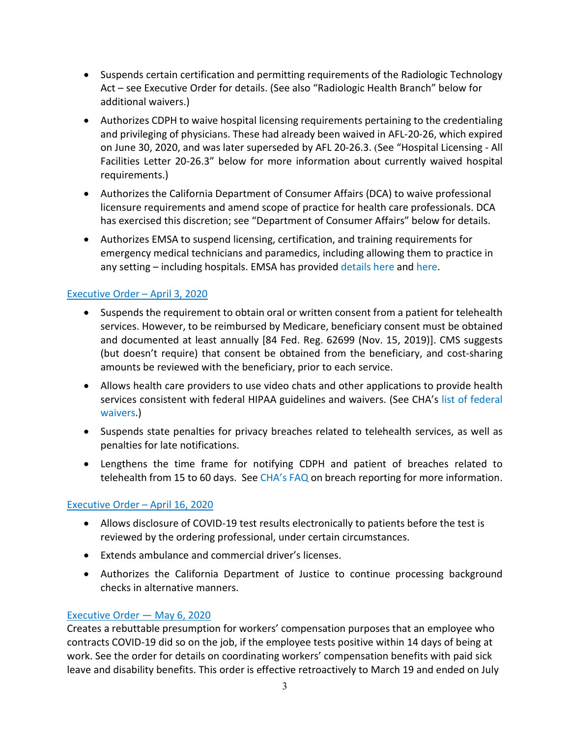- Suspends certain certification and permitting requirements of the Radiologic Technology Act – see Executive Order for details. (See also "Radiologic Health Branch" below for additional waivers.)
- Authorizes CDPH to waive hospital licensing requirements pertaining to the credentialing and privileging of physicians. These had already been waived in AFL-20-26, which expired on June 30, 2020, and was later superseded by AFL 20-26.3. (See "Hospital Licensing - All Facilities Letter 20-26.3" below for more information about currently waived hospital requirements.)
- Authorizes the California Department of Consumer Affairs (DCA) to waive professional licensure requirements and amend scope of practice for health care professionals. DCA has exercised this discretion; see "Department of Consumer Affairs" below for details.
- Authorizes EMSA to suspend licensing, certification, and training requirements for emergency medical technicians and paramedics, including allowing them to practice in any setting – including hospitals. EMSA has provided [details here](https://emsa.ca.gov/wp-content/uploads/sites/71/2020/05/EMSPersonnelGuidancePolicy-Revised-5-18-20.pdf) and [here.](https://emsa.ca.gov/wp-content/uploads/sites/71/2020/04/COVID-19-Paramedic-Licensure-Fact-Sheet.pdf)

# [Executive Order –](https://www.gov.ca.gov/wp-content/uploads/2020/04/4.3.20-EO-N-43-20.pdf) April 3, 2020

- Suspends the requirement to obtain oral or written consent from a patient for telehealth services. However, to be reimbursed by Medicare, beneficiary consent must be obtained and documented at least annually [84 Fed. Reg. 62699 (Nov. 15, 2019)]. CMS suggests (but doesn't require) that consent be obtained from the beneficiary, and cost-sharing amounts be reviewed with the beneficiary, prior to each service.
- Allows health care providers to use video chats and other applications to provide health services consistent with federal HIPAA guidelines and waivers. (See CHA's [list of federal](https://www.calhospital.org/sites/main/files/file-attachments/federal_waivers_4-13-20_final.pdf)  [waivers.](https://www.calhospital.org/sites/main/files/file-attachments/federal_waivers_4-13-20_final.pdf))
- Suspends state penalties for privacy breaches related to telehealth services, as well as penalties for late notifications.
- Lengthens the time frame for notifying CDPH and patient of breaches related to telehealth from 15 to 60 days. Se[e CHA's FAQ](https://www.calhospital.org/faqs-facility-licensing-certification) on breach reporting for more information.

## [Executive Order –](https://www.gov.ca.gov/wp-content/uploads/2020/04/4.16.20-EO-N-52-20-text.pdf) April 16, 2020

- Allows disclosure of COVID-19 test results electronically to patients before the test is reviewed by the ordering professional, under certain circumstances.
- Extends ambulance and commercial driver's licenses.
- Authorizes the California Department of Justice to continue processing background checks in alternative manners.

## [Executive Order —](https://www.gov.ca.gov/wp-content/uploads/2020/05/5.6.20-EO-N-62-20-text.pdf) May 6, 2020

Creates a rebuttable presumption for workers' compensation purposes that an employee who contracts COVID-19 did so on the job, if the employee tests positive within 14 days of being at work. See the order for details on coordinating workers' compensation benefits with paid sick leave and disability benefits. This order is effective retroactively to March 19 and ended on July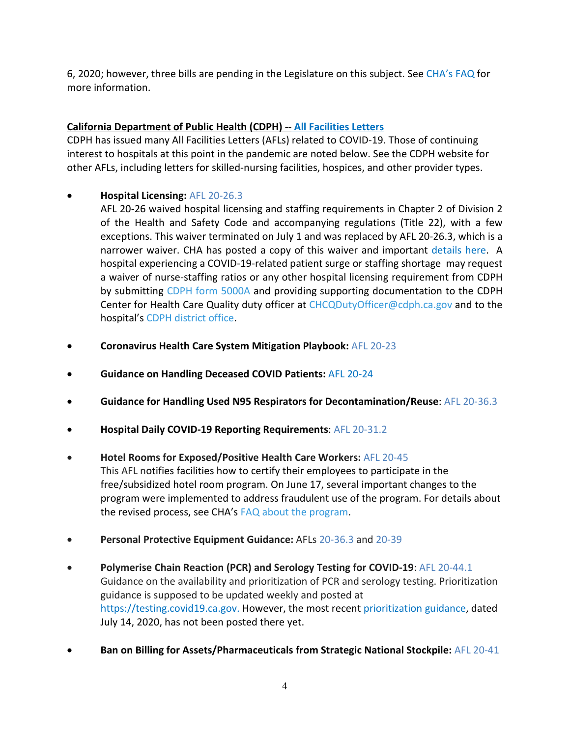6, 2020; however, three bills are pending in the Legislature on this subject. See [CHA's FAQ](https://www.calhospital.org/faqs-human-resources) for more information.

# **[California Department of Public Health](https://www.cdph.ca.gov/Programs/CHCQ/LCP/Pages/LNCAFL20.aspx) (CDPH) -- All Facilities Letters**

CDPH has issued many All Facilities Letters (AFLs) related to COVID-19. Those of continuing interest to hospitals at this point in the pandemic are noted below. See the CDPH website for other AFLs, including letters for skilled-nursing facilities, hospices, and other provider types.

• **Hospital Licensing:** [AFL 20-26.3](https://www.cdph.ca.gov/Programs/CHCQ/LCP/Pages/AFL-20-26.aspx)

AFL 20-26 waived hospital licensing and staffing requirements in Chapter 2 of Division 2 of the Health and Safety Code and accompanying regulations (Title 22), with a few exceptions. This waiver terminated on July 1 and was replaced by AFL 20-26.3, which is a narrower waiver. CHA has posted a copy of this waiver and important [details here.](https://www.calhospital.org/faqs-facility-licensing-certification) A hospital experiencing a COVID-19-related patient surge or staffing shortage may request a waiver of nurse-staffing ratios or any other hospital licensing requirement from CDPH by submitting [CDPH form 5000A](https://elink.clickdimensions.com/c/6/?T=ODg0NzgzNzQ%3AMDItYjIwMTgxLTBlNzM5ZThmMDRlNTRmOTJhYmQ5ODgxOTZiMzcyYzMy%3AY2RldmlAY2FsaG9zcGl0YWwub3Jn%3AY29udGFjdC1mZTVlZGFkMGFmYzllOTExYTg0MjAwMGQzYTNiNGNlZS1hMDczZWY2NzI1MjQ0ZWNiODg0ZGJhNWVmZTAwNjIyNw%3AZmFsc2U%3AMw%3A%3AaHR0cHM6Ly93d3cuY2RwaC5jYS5nb3YvQ0RQSCUyMERvY3VtZW50JTIwTGlicmFyeS9Db250cm9sbGVkRm9ybXMvY2RwaDUwMDBhLnBkZj9fY2xkZWU9WTJSbGRtbEFZMkZzYUc5emNHbDBZV3d1YjNKbiZyZWNpcGllbnRpZD1jb250YWN0LWZlNWVkYWQwYWZjOWU5MTFhODQyMDAwZDNhM2I0Y2VlLWEwNzNlZjY3MjUyNDRlY2I4ODRkYmE1ZWZlMDA2MjI3JmVzaWQ9ODA4M2ZlZjgtNjBiYS1lYTExLWE4MTItMDAwZDNhM2FiZGNm&K=xqkSZmfaNIIwrtCVNZ7WmQ) and providing supporting documentation to the CDPH Center for Health Care Quality duty officer at [CHCQDutyOfficer@cdph.ca.gov](mailto:CHCQDutyOfficer@cdph.ca.gov) and to the hospital's [CDPH district office.](https://www.cdph.ca.gov/Programs/CHCQ/LCP/Pages/DistrictOffices.aspx)

- **Coronavirus Health Care System Mitigation Playbook:** AFL [20-23](https://www.cdph.ca.gov/Programs/CHCQ/LCP/Pages/AFL-20-23.aspx)
- **Guidance on Handling Deceased COVID Patients:** [AFL 20-24](https://www.cdph.ca.gov/Programs/CHCQ/LCP/Pages/AFL-20-24.aspx)
- **Guidance for Handling Used N95 Respirators for Decontamination/Reuse**: [AFL 20-36.3](https://www.cdph.ca.gov/Programs/CHCQ/LCP/Pages/AFL-20-36.aspx)
- **Hospital Daily COVID-19 Reporting Requirements**: [AFL 20-31.2](https://www.cdph.ca.gov/Programs/CHCQ/LCP/Pages/AFL-20-31.aspx)
- **Hotel Rooms for Exposed/Positive Health Care Workers:** [AFL 20-45](https://www.cdph.ca.gov/Programs/CHCQ/LCP/Pages/AFL-20-45.aspx) This AFL notifies facilities how to certify their employees to participate in the free/subsidized hotel room program. On June 17, several important changes to the program were implemented to address fraudulent use of the program. For details about the revised process, see CHA's [FAQ about the program.](https://elink.clickdimensions.com/c/6/?T=ODg0NzgzNzQ%3AMDItYjIwMTc4LTAyMzFjMmMxOTU0ZDQzNTA4ZTMwYmI2ZDFiZTlkMzlj%3AY2RldmlAY2FsaG9zcGl0YWwub3Jn%3AY29udGFjdC1mZTVlZGFkMGFmYzllOTExYTg0MjAwMGQzYTNiNGNlZS0zMDcyN2E3NmE3OGY0MGQ2YTA3NzQyOGMzMDA2MzE0ZQ%3AZmFsc2U%3ANA%3A%3AaHR0cHM6Ly93d3cuY2FsaG9zcGl0YWwub3JnL2ZhcXMtaHVtYW4tcmVzb3VyY2VzP19jbGRlZT1ZMlJsZG1sQVkyRnNhRzl6Y0dsMFlXd3ViM0puJnJlY2lwaWVudGlkPWNvbnRhY3QtZmU1ZWRhZDBhZmM5ZTkxMWE4NDIwMDBkM2EzYjRjZWUtMzA3MjdhNzZhNzhmNDBkNmEwNzc0MjhjMzAwNjMxNGUmZXNpZD04MjMzNDZiMi0wNGI4LWVhMTEtYTgxMi0wMDBkM2EzYWJkY2Y&K=cA4Z_d9kLHKfQZ4m5TJ2UA)
- **Personal Protective Equipment Guidance:** AFLs [20-36.3](https://www.cdph.ca.gov/Programs/CHCQ/LCP/Pages/AFL-20-36.aspx) and [20-39](https://www.cdph.ca.gov/Programs/CHCQ/LCP/Pages/AFL-20-39.aspx)
- **Polymerise Chain Reaction (PCR) and Serology Testing for COVID-19**: [AFL 20-44.1](https://www.cdph.ca.gov/Programs/CHCQ/LCP/Pages/AFL-20-44.aspx) Guidance on the availability and prioritization of PCR and serology testing. Prioritization guidance is supposed to be updated weekly and posted at [https://testing.covid19.ca.gov.](https://testing.covid19.ca.gov/) However, the most recent [prioritization guidance,](https://www.cdph.ca.gov/Programs/CID/DCDC/Pages/COVID-19/Updated-COVID-19-Testing-Guidance.aspx) dated July 14, 2020, has not been posted there yet.
- **Ban on Billing for Assets/Pharmaceuticals from Strategic National Stockpile:** [AFL 20-41](https://www.cdph.ca.gov/Programs/CHCQ/LCP/Pages/AFL-20-41.aspx)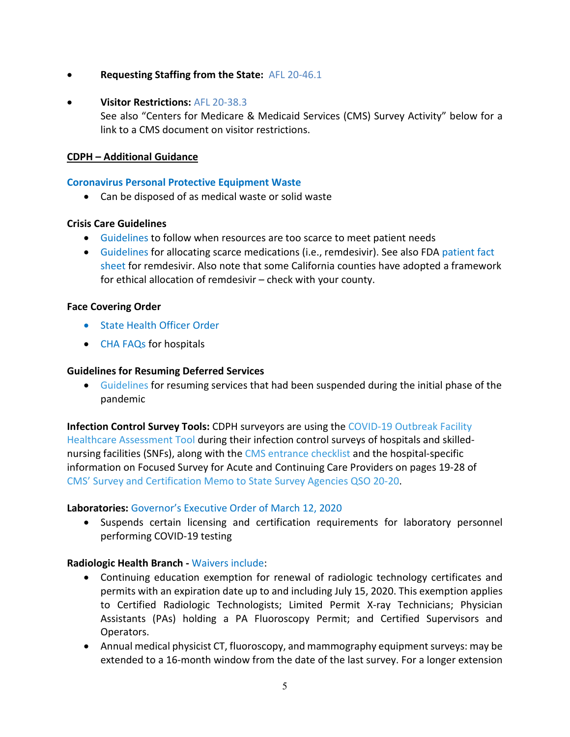- **Requesting Staffing from the State:** [AFL 20-46.1](https://www.cdph.ca.gov/Programs/CHCQ/LCP/Pages/AFL-20-46.aspx)
- **Visitor Restrictions:** [AFL 20-38.3](https://www.cdph.ca.gov/Programs/CHCQ/LCP/Pages/AFL-20-38.aspx)

See also "Centers for Medicare & Medicaid Services (CMS) Survey Activity" below for a link to a CMS document on visitor restrictions.

#### **CDPH – Additional Guidance**

#### **[Coronavirus Personal Protective Equipment Waste](https://www.cdph.ca.gov/Programs/CID/DCDC/Pages/COVID-19/MedicalWasteManagementPersonalProtectiveEquipment.aspx)**

• Can be disposed of as medical waste or solid waste

#### **Crisis Care Guidelines**

- [Guidelines](https://www.cdph.ca.gov/Programs/CID/DCDC/CDPH%20Document%20Library/COVID-19/California%20SARS-CoV-2%20Crisis%20Care%20Guidelines%20-June%208%202020.pdf) to follow when resources are too scarce to meet patient needs
- [Guidelines](https://www.cdph.ca.gov/Programs/CID/DCDC/Pages/COVID-19/GuidanceForHospitalsRegardingAllocationOfScarceMedicationsForCOVID19.aspx) for allocating scarce medications (i.e., remdesivir). See also FDA [patient fact](https://www.fda.gov/media/137565/download)  [sheet](https://www.fda.gov/media/137565/download) for remdesivir. Also note that some California counties have adopted a framework for ethical allocation of remdesivir – check with your county.

#### **Face Covering Order**

- [State Health Officer Order](https://www.cdph.ca.gov/Programs/CID/DCDC/CDPH%20Document%20Library/COVID-19/Guidance-for-Face-Coverings_06-18-2020.pdf)
- [CHA FAQs](https://www.calhospital.org/article/faqs-face-coverings) for hospitals

#### **Guidelines for Resuming Deferred Services**

• [Guidelines](https://elink.clickdimensions.com/c/6/?T=ODg0NzgzNzQ%3AMDItYjIwMTE4LTE3ZGY1OWE5OWZlNTQ5MzBhYzQwMjI4NWI1NTNjMjMz%3AY2RldmlAY2FsaG9zcGl0YWwub3Jn%3AY29udGFjdC1mZTVlZGFkMGFmYzllOTExYTg0MjAwMGQzYTNiNGNlZS1kNWU5MGIzN2IwMTM0OGY0OGQwYzA1ZDk4YmZlZjZjMw%3AZmFsc2U%3AMQ%3A%3AaHR0cHM6Ly9lbGluay5jbGlja2RpbWVuc2lvbnMuY29tL2MvNi8_VD1PRGcwTnpnek56USUzQU1ESXRZakl3TVRFNExUY3lOekV5TlRWak16SXlORFJsTXpoaU5UUXlORGd4TXpNd01EQmhPVEUyJTNBWTJSbGRtbEFZMkZzYUc5emNHbDBZV3d1YjNKbiUzQVkyOXVkR0ZqZEMxbVpUVmxaR0ZrTUdGbVl6bGxPVEV4WVRnME1qQXdNR1F6WVROaU5HTmxaUzAxTkROaE9HTXlNakl5TXprME5qSTJPV0UxWkRoa09HSTFZbUpsWXpZM05nJTNBWm1Gc2MyVSUzQU1BJTNBJTNBYUhSMGNITTZMeTkzZDNjdVkyUndhQzVqWVM1bmIzWXZVSEp2WjNKaGJYTXZRMGxFTDBSRFJFTXZVR0ZuWlhNdlEwOVdTVVF0TVRrdlVtVnpkVzFwYm1kRFlXeHBabTl5Ym1saEpVVXlKVGd3SlRrNWMwUmxabVZ5Y21Wa1lXNWtVSEpsZG1WdWRHbDJaVWhsWVd4MGFFTmhjbVV1WVhOd2VEOWZZMnhrWldVOVdUSlNiR1J0YkVGWk1rWnpZVWM1ZW1OSGJEQlpWM2QxWWpOS2JpWnlaV05wY0dsbGJuUnBaRDFqYjI1MFlXTjBMV1psTldWa1lXUXdZV1pqT1dVNU1URmhPRFF5TURBd1pETmhNMkkwWTJWbExUVTBNMkU0WXpJeU1qSXpPVFEyTWpZNVlUVmtPR1E0WWpWaVltVmpOamMySm1WemFXUTlZMkptWlRkbVlUY3RZbUU0T0MxbFlURXhMV0U0TVRJdE1EQXdaRE5oTTJGaVpHTm0mSz10NkdKOFdMNnN1S2NJN0dYNjFxWVl3Jl9jbGRlZT1ZMlJsZG1sQVkyRnNhRzl6Y0dsMFlXd3ViM0puJnJlY2lwaWVudGlkPWNvbnRhY3QtZmU1ZWRhZDBhZmM5ZTkxMWE4NDIwMDBkM2EzYjRjZWUtZDVlOTBiMzdiMDEzNDhmNDhkMGMwNWQ5OGJmZWY2YzMmZXNpZD00MDBlZWI5Ny1kZTg4LWVhMTEtYTgxMi0wMDBkM2EzNzVhNGQ&K=rcKrnTjV8hnmnJPYQOylLQ) for resuming services that had been suspended during the initial phase of the pandemic

**Infection Control Survey Tools:** CDPH surveyors are using the [COVID-19 Outbreak Facility](https://elink.clickdimensions.com/c/6/?T=ODg0NzgzNzQ%3AMDItYjIwMTQ4LTk3OWIxZGY4NGQ4YjRkY2VhOWNkOWUyN2M5N2MyOGQ1%3AY2RldmlAY2FsaG9zcGl0YWwub3Jn%3AY29udGFjdC1mZTVlZGFkMGFmYzllOTExYTg0MjAwMGQzYTNiNGNlZS00YmVkY2M2NjIyYTQ0MWQ5YTQxMDVlOGUyMDcyYWNlOQ%3AZmFsc2U%3AOQ%3A%3AaHR0cHM6Ly93d3cuY2FsaG9zcGl0YWwub3JnL3NpdGVzL21haW4vZmlsZXMvZmlsZS1hdHRhY2htZW50cy9oYWlfb25zaXRlX291dGJyZWFrX2Fzc2Vzc21lbnRfdG9vbF9kcmFmdF81LjE1LjIwLnBkZj9fY2xkZWU9WTJSbGRtbEFZMkZzYUc5emNHbDBZV3d1YjNKbiZyZWNpcGllbnRpZD1jb250YWN0LWZlNWVkYWQwYWZjOWU5MTFhODQyMDAwZDNhM2I0Y2VlLTRiZWRjYzY2MjJhNDQxZDlhNDEwNWU4ZTIwNzJhY2U5JmVzaWQ9NGVjYjIzMjAtNmRhMC1lYTExLWE4MTItMDAwZDNhMzc1YTRk&K=bpWNN75x9-oAASd1vAL41g)  [Healthcare Assessment Tool](https://elink.clickdimensions.com/c/6/?T=ODg0NzgzNzQ%3AMDItYjIwMTQ4LTk3OWIxZGY4NGQ4YjRkY2VhOWNkOWUyN2M5N2MyOGQ1%3AY2RldmlAY2FsaG9zcGl0YWwub3Jn%3AY29udGFjdC1mZTVlZGFkMGFmYzllOTExYTg0MjAwMGQzYTNiNGNlZS00YmVkY2M2NjIyYTQ0MWQ5YTQxMDVlOGUyMDcyYWNlOQ%3AZmFsc2U%3AOQ%3A%3AaHR0cHM6Ly93d3cuY2FsaG9zcGl0YWwub3JnL3NpdGVzL21haW4vZmlsZXMvZmlsZS1hdHRhY2htZW50cy9oYWlfb25zaXRlX291dGJyZWFrX2Fzc2Vzc21lbnRfdG9vbF9kcmFmdF81LjE1LjIwLnBkZj9fY2xkZWU9WTJSbGRtbEFZMkZzYUc5emNHbDBZV3d1YjNKbiZyZWNpcGllbnRpZD1jb250YWN0LWZlNWVkYWQwYWZjOWU5MTFhODQyMDAwZDNhM2I0Y2VlLTRiZWRjYzY2MjJhNDQxZDlhNDEwNWU4ZTIwNzJhY2U5JmVzaWQ9NGVjYjIzMjAtNmRhMC1lYTExLWE4MTItMDAwZDNhMzc1YTRk&K=bpWNN75x9-oAASd1vAL41g) during their infection control surveys of hospitals and skillednursing facilities (SNFs), along with the [CMS entrance checklist](https://elink.clickdimensions.com/c/6/?T=ODg0NzgzNzQ%3AMDItYjIwMTQ4LTk3OWIxZGY4NGQ4YjRkY2VhOWNkOWUyN2M5N2MyOGQ1%3AY2RldmlAY2FsaG9zcGl0YWwub3Jn%3AY29udGFjdC1mZTVlZGFkMGFmYzllOTExYTg0MjAwMGQzYTNiNGNlZS00YmVkY2M2NjIyYTQ0MWQ5YTQxMDVlOGUyMDcyYWNlOQ%3AZmFsc2U%3AMTA%3A%3AaHR0cHM6Ly9lbGluay5jbGlja2RpbWVuc2lvbnMuY29tL2MvNi8_VD1PRGcwTnpnek56USUzQU1ESXRZakl3TVRJM0xXWTNObUl5TjJWalpqSTVOelF6WVdJNFl6ZGlOamxrWWpCaE9XVmpaREF6JTNBWTJSbGRtbEFZMkZzYUc5emNHbDBZV3d1YjNKbiUzQVkyOXVkR0ZqZEMxbVpUVmxaR0ZrTUdGbVl6bGxPVEV4WVRnME1qQXdNR1F6WVROaU5HTmxaUzFsWWpRNU1XVTVZelExTTJNME9EYzFZV1UwTW1RME9UWTJNak0xTnpCbU5RJTNBWm1Gc2MyVSUzQU5BJTNBJTNBYUhSMGNITTZMeTkzZDNjdVkyRnNhRzl6Y0dsMFlXd3ViM0puTDNOcGRHVnpMMjFoYVc0dlptbHNaWE12Wm1sc1pTMWhkSFJoWTJodFpXNTBjeTlsYm5SeVlXNWpaV052Ym1abGNtVnVZMlYzYjNKcmMyaGxaWFJwWTE5emJtWXVjR1JtUDE5amJHUmxaVDFaTWxKc1pHMXNRVmt5Um5OaFJ6bDZZMGRzTUZsWGQzVmlNMHB1Sm5KbFkybHdhV1Z1ZEdsa1BXTnZiblJoWTNRdFptVTFaV1JoWkRCaFptTTVaVGt4TVdFNE5ESXdNREJrTTJFellqUmpaV1V0WldJME9URmxPV00wTlROak5EZzNOV0ZsTkRKa05EazJOakl6TlRjd1pqVW1aWE5wWkQweFlUbGtNakJpWlMxbU5UaG1MV1ZoTVRFdFlUZ3hNUzB3TURCa00yRXpZV0prWTJZJks9S01URUVxejRTRFhhQWhKeVJqQXpiQSZfY2xkZWU9WTJSbGRtbEFZMkZzYUc5emNHbDBZV3d1YjNKbiZyZWNpcGllbnRpZD1jb250YWN0LWZlNWVkYWQwYWZjOWU5MTFhODQyMDAwZDNhM2I0Y2VlLTRiZWRjYzY2MjJhNDQxZDlhNDEwNWU4ZTIwNzJhY2U5JmVzaWQ9NGVjYjIzMjAtNmRhMC1lYTExLWE4MTItMDAwZDNhMzc1YTRk&K=S0TFQAAnUN9rMNR2f7JxiQ) and the hospital-specific information on Focused Survey for Acute and Continuing Care Providers on pages 19-28 of [CMS' Survey and Certification Memo to State Survey Agencies QSO 20-20.](https://elink.clickdimensions.com/c/6/?T=ODg0NzgzNzQ%3AMDItYjIwMTQ4LTk3OWIxZGY4NGQ4YjRkY2VhOWNkOWUyN2M5N2MyOGQ1%3AY2RldmlAY2FsaG9zcGl0YWwub3Jn%3AY29udGFjdC1mZTVlZGFkMGFmYzllOTExYTg0MjAwMGQzYTNiNGNlZS00YmVkY2M2NjIyYTQ0MWQ5YTQxMDVlOGUyMDcyYWNlOQ%3AZmFsc2U%3AMTE%3A%3AaHR0cHM6Ly9lbGluay5jbGlja2RpbWVuc2lvbnMuY29tL2MvNi8_VD1PRGcwTnpnek56USUzQU1ESXRZakl3TVRJM0xXWTNObUl5TjJWalpqSTVOelF6WVdJNFl6ZGlOamxrWWpCaE9XVmpaREF6JTNBWTJSbGRtbEFZMkZzYUc5emNHbDBZV3d1YjNKbiUzQVkyOXVkR0ZqZEMxbVpUVmxaR0ZrTUdGbVl6bGxPVEV4WVRnME1qQXdNR1F6WVROaU5HTmxaUzFsWWpRNU1XVTVZelExTTJNME9EYzFZV1UwTW1RME9UWTJNak0xTnpCbU5RJTNBWm1Gc2MyVSUzQU5RJTNBJTNBYUhSMGNITTZMeTkzZDNjdVkyMXpMbWR2ZGk5bWFXeGxjeTlrYjJOMWJXVnVkQzl4YzI4dE1qQXRNakF0WVd4c2NHUm1MbkJrWmo5ZlkyeGtaV1U5V1RKU2JHUnRiRUZaTWtaellVYzVlbU5IYkRCWlYzZDFZak5LYmlaeVpXTnBjR2xsYm5ScFpEMWpiMjUwWVdOMExXWmxOV1ZrWVdRd1lXWmpPV1U1TVRGaE9EUXlNREF3WkROaE0ySTBZMlZsTFdWaU5Ea3haVGxqTkRVell6UTROelZoWlRReVpEUTVOall5TXpVM01HWTFKbVZ6YVdROU1XRTVaREl3WW1VdFpqVTRaaTFsWVRFeExXRTRNVEV0TURBd1pETmhNMkZpWkdObSZLPUZsVW9lcjNlRXJidjY2d3JpXzJoeXcmX2NsZGVlPVkyUmxkbWxBWTJGc2FHOXpjR2wwWVd3dWIzSm4mcmVjaXBpZW50aWQ9Y29udGFjdC1mZTVlZGFkMGFmYzllOTExYTg0MjAwMGQzYTNiNGNlZS00YmVkY2M2NjIyYTQ0MWQ5YTQxMDVlOGUyMDcyYWNlOSZlc2lkPTRlY2IyMzIwLTZkYTAtZWExMS1hODEyLTAwMGQzYTM3NWE0ZA&K=c1sTGx5szZWm7x4Dn02B4w)

#### **Laboratories:** [Governor's Executive Order of March 12, 2020](https://www.gov.ca.gov/wp-content/uploads/2020/03/3.12.20-EO-N-25-20-COVID-19.pdf)

• Suspends certain licensing and certification requirements for laboratory personnel performing COVID-19 testing

#### **Radiologic Health Branch -** [Waivers include:](https://www.cdph.ca.gov/Programs/CEH/DRSEM/Pages/RHB-Certification/XRayNucMed-Covid.aspx)

- Continuing education exemption for renewal of radiologic technology certificates and permits with an expiration date up to and including July 15, 2020. This exemption applies to Certified Radiologic Technologists; Limited Permit X-ray Technicians; Physician Assistants (PAs) holding a PA Fluoroscopy Permit; and Certified Supervisors and Operators.
- Annual medical physicist CT, fluoroscopy, and mammography equipment surveys: may be extended to a 16-month window from the date of the last survey. For a longer extension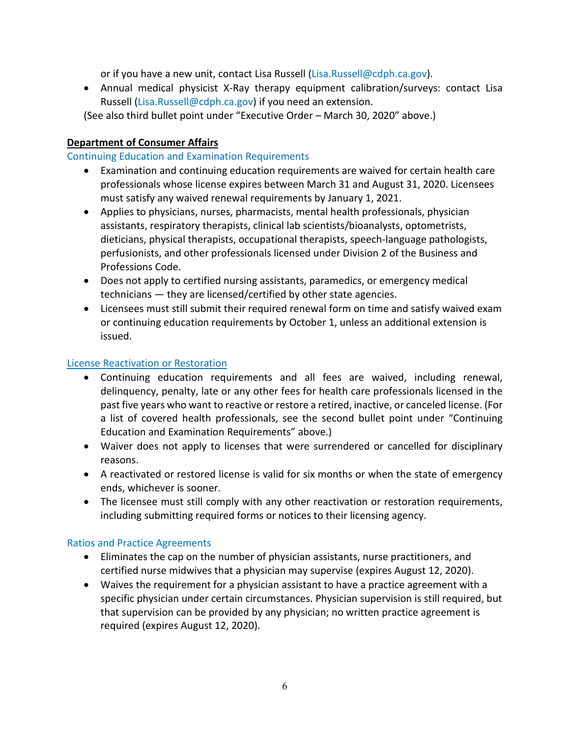or if you have a new unit, contact Lisa Russell [\(Lisa.Russell@cdph.ca.gov\)](https://calhospital-my.sharepoint.com/personal/abradley_calhospital_org/Documents/Coronavirus/State%20Waivers%20Doc/Lisa.Russell@cdph.ca.gov).

• Annual medical physicist X-Ray therapy equipment calibration/surveys: contact Lisa Russell [\(Lisa.Russell@cdph.ca.gov\)](mailto:Lisa.Russell@cdph.ca.gov) if you need an extension.

(See also third bullet point under "Executive Order – March 30, 2020" above.)

## **Department of Consumer Affairs**

## [Continuing Education and Examination Requirements](https://www.dca.ca.gov/licensees/dca_20_27.pdf)

- Examination and continuing education requirements are waived for certain health care professionals whose license expires between March 31 and August 31, 2020. Licensees must satisfy any waived renewal requirements by January 1, 2021.
- Applies to physicians, nurses, pharmacists, mental health professionals, physician assistants, respiratory therapists, clinical lab scientists/bioanalysts, optometrists, dieticians, physical therapists, occupational therapists, speech-language pathologists, perfusionists, and other professionals licensed under Division 2 of the Business and Professions Code.
- Does not apply to certified nursing assistants, paramedics, or emergency medical technicians — they are licensed/certified by other state agencies.
- Licensees must still submit their required renewal form on time and satisfy waived exam or continuing education requirements by October 1, unless an additional extension is issued.

## [License Reactivation or Restoration](https://www.dca.ca.gov/licensees/reinstate_licensure.pdf)

- Continuing education requirements and all fees are waived, including renewal, delinquency, penalty, late or any other fees for health care professionals licensed in the past five years who want to reactive or restore a retired, inactive, or canceled license. (For a list of covered health professionals, see the second bullet point under "Continuing Education and Examination Requirements" above.)
- Waiver does not apply to licenses that were surrendered or cancelled for disciplinary reasons.
- A reactivated or restored license is valid for six months or when the state of emergency ends, whichever is sooner.
- The licensee must still comply with any other reactivation or restoration requirements, including submitting required forms or notices to their licensing agency.

## [Ratios and Practice Agreements](https://www.dca.ca.gov/licensees/dca_waivers.shtml)

- Eliminates the cap on the number of physician assistants, nurse practitioners, and certified nurse midwives that a physician may supervise (expires August 12, 2020).
- Waives the requirement for a physician assistant to have a practice agreement with a specific physician under certain circumstances. Physician supervision is still required, but that supervision can be provided by any physician; no written practice agreement is required (expires August 12, 2020).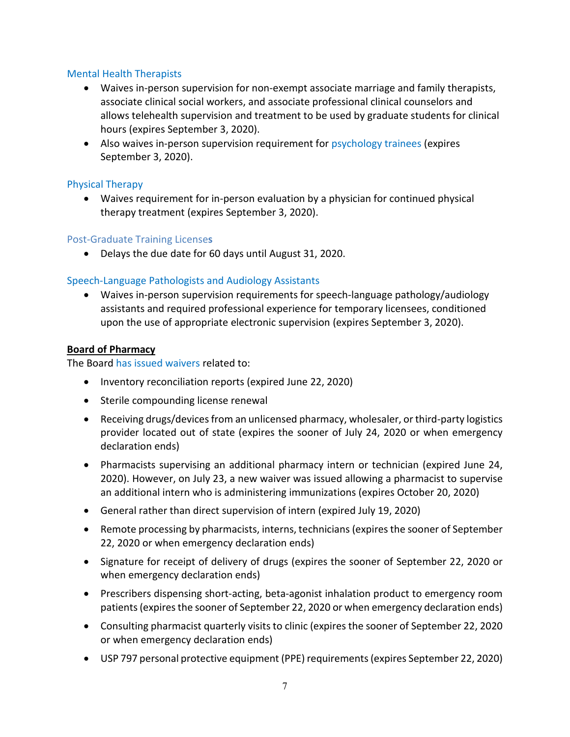#### [Mental Health Therapists](https://www.dca.ca.gov/licensees/dca_20_31.pdf)

- Waives in-person supervision for non-exempt associate marriage and family therapists, associate clinical social workers, and associate professional clinical counselors and allows telehealth supervision and treatment to be used by graduate students for clinical hours (expires September 3, 2020).
- Also waives in-person supervision requirement for [psychology trainees](https://www.dca.ca.gov/licensees/dca_20_29.pdf) (expires September 3, 2020).

### [Physical Therapy](https://www.dca.ca.gov/licensees/dca_20_28.pdf)

• Waives requirement for in-person evaluation by a physician for continued physical therapy treatment (expires September 3, 2020).

#### [Post-Graduate Training License](https://www.dca.ca.gov/licensees/mbc_ombc_postgraduate_training.pdf)**s**

• Delays the due date for 60 days until August 31, 2020.

## [Speech-Language Pathologists and Audiology Assistants](https://www.dca.ca.gov/licensees/dca_20_30.pdf)

• Waives in-person supervision requirements for speech-language pathology/audiology assistants and required professional experience for temporary licensees, conditioned upon the use of appropriate electronic supervision (expires September 3, 2020).

#### **Board of Pharmacy**

The Board [has issued waivers](https://www.pharmacy.ca.gov/licensees/emergency_declaration.shtml) related to:

- Inventory reconciliation reports (expired June 22, 2020)
- Sterile compounding license renewal
- Receiving drugs/devices from an unlicensed pharmacy, wholesaler, or third-party logistics provider located out of state (expires the sooner of July 24, 2020 or when emergency declaration ends)
- Pharmacists supervising an additional pharmacy intern or technician (expired June 24, 2020). However, on July 23, a new waiver was issued allowing a pharmacist to supervise an additional intern who is administering immunizations (expires October 20, 2020)
- General rather than direct supervision of intern (expired July 19, 2020)
- Remote processing by pharmacists, interns, technicians (expires the sooner of September 22, 2020 or when emergency declaration ends)
- Signature for receipt of delivery of drugs (expires the sooner of September 22, 2020 or when emergency declaration ends)
- Prescribers dispensing short-acting, beta-agonist inhalation product to emergency room patients (expires the sooner of September 22, 2020 or when emergency declaration ends)
- Consulting pharmacist quarterly visits to clinic (expires the sooner of September 22, 2020 or when emergency declaration ends)
- USP 797 personal protective equipment (PPE) requirements(expires September 22, 2020)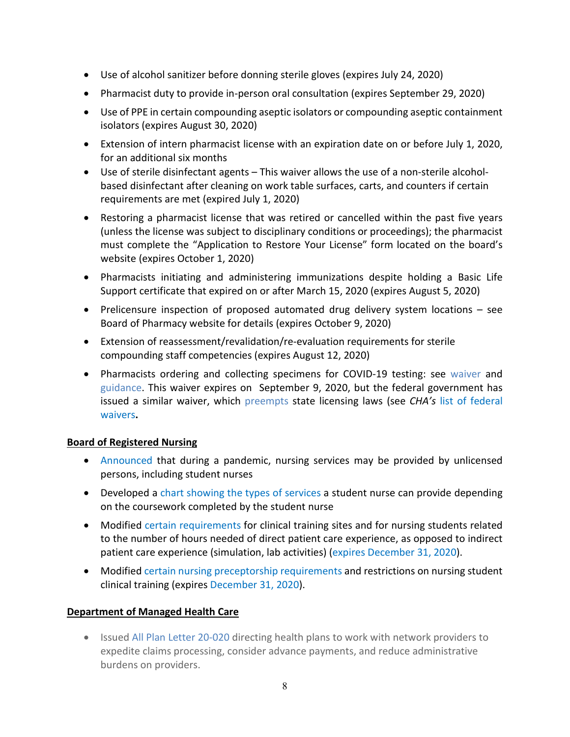- Use of alcohol sanitizer before donning sterile gloves (expires July 24, 2020)
- Pharmacist duty to provide in-person oral consultation (expires September 29, 2020)
- Use of PPE in certain compounding aseptic isolators or compounding aseptic containment isolators (expires August 30, 2020)
- Extension of intern pharmacist license with an expiration date on or before July 1, 2020, for an additional six months
- Use of sterile disinfectant agents This waiver allows the use of a non-sterile alcoholbased disinfectant after cleaning on work table surfaces, carts, and counters if certain requirements are met (expired July 1, 2020)
- Restoring a pharmacist license that was retired or cancelled within the past five years (unless the license was subject to disciplinary conditions or proceedings); the pharmacist must complete the "Application to Restore Your License" form located on the board's website (expires October 1, 2020)
- Pharmacists initiating and administering immunizations despite holding a Basic Life Support certificate that expired on or after March 15, 2020 (expires August 5, 2020)
- Prelicensure inspection of proposed automated drug delivery system locations see Board of Pharmacy website for details (expires October 9, 2020)
- Extension of reassessment/revalidation/re-evaluation requirements for sterile compounding staff competencies (expires August 12, 2020)
- Pharmacists ordering and collecting specimens for COVID-19 testing: see [waiver](https://www.dca.ca.gov/licensees/pharmacists_covid19_tests.pdf) and [guidance.](https://www.dca.ca.gov/licensees/pharmacists_covid19_tests_guidance.pdf) This waiver expires on September 9, 2020, but the federal government has issued a similar waiver, which [preempts](https://www.hhs.gov/sites/default/files/advisory-opinion-20-02-hhs-ogc-prep-act.pdf?utm_source=Arent+Fox+List&utm_campaign=db4be168c0-EMAIL_CAMPAIGN_2020_03_23_05_20_COPY_01&utm_medium=email&utm_term=0_3a013c8d3d-db4be168c0-422492141&mc_cid=db4be168c0&mc_eid=58912c4176) state licensing laws (see *CHA's* [list of federal](https://www.calhospital.org/sites/main/files/file-attachments/federal_waivers_4-13-20_final.pdf)  [waivers](https://www.calhospital.org/sites/main/files/file-attachments/federal_waivers_4-13-20_final.pdf)**.**

## **Board of Registered Nursing**

- [Announced](https://www.rn.ca.gov/pdfs/forms/covid_news_release.pdf) that during a pandemic, nursing services may be provided by unlicensed persons, including student nurses
- Developed a [chart showing the types of services](https://www.rn.ca.gov/pdfs/forms/emergency_care_matrix.pdf) a student nurse can provide depending on the coursework completed by the student nurse
- Modified [certain requirements](https://www.dca.ca.gov/licensees/clinical_hours.pdf) for clinical training sites and for nursing students related to the number of hours needed of direct patient care experience, as opposed to indirect patient care experience (simulation, lab activities) [\(expires December 31, 2020\)](https://www.dca.ca.gov/licensees/dca_20_40.pdf).
- Modified [certain nursing preceptorship requirements](https://www.dca.ca.gov/licensees/nurse_preceptorship_requirements.pdf) and restrictions on nursing student clinical training (expires [December 31, 2020\)](https://www.dca.ca.gov/licensees/dca_20_41.pdf).

## **Department of Managed Health Care**

• Issue[d All Plan Letter 20-020](http://www.dmhc.ca.gov/Portals/0/Docs/OPL/APL%2020-020%20-%20Network%20Adequacy%20and%20Unnecessary%20Burdens%20on%20Providers%20(5_20_20).pdf?ver=2020-05-20-121224-640) directing health plans to work with network providers to expedite claims processing, consider advance payments, and reduce administrative burdens on providers.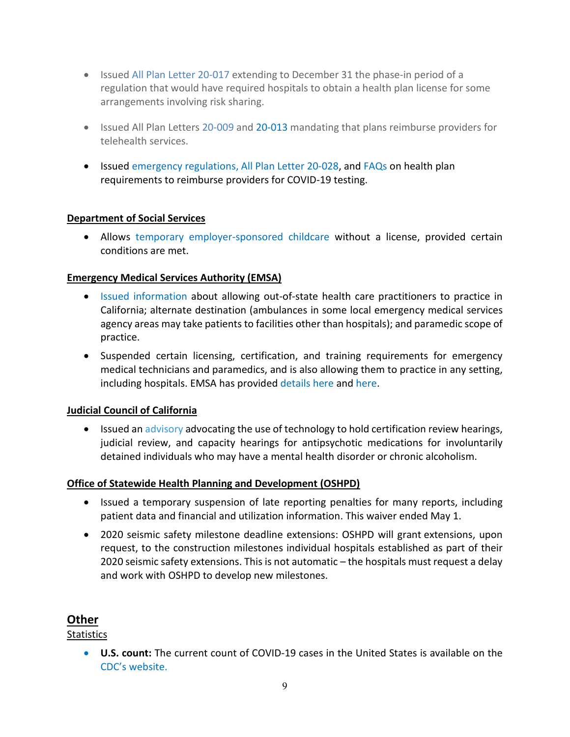- Issue[d All Plan Letter](https://elink.clickdimensions.com/c/6/?T=ODg0NzgzNzQ%3AMDItYjIwMTEyLTBhMDk2OWZhZTcwOTRjZmJiYjY2MDMwN2YxZDA5ZGRi%3AbHJpY2hhcmRzb25AY2FsaG9zcGl0YWwub3Jn%3AY29udGFjdC05NDE2YzVkMDNhNTdlNTExODBjODJjNDRmZDdmZjQ0Yi1iMzIyOThmOGEwYzA0MzRmOTY5MDhkMDk3NWE3ZTVkNg%3AZmFsc2U%3AMjI%3A%3AaHR0cHM6Ly93d3cuY2FsaG9zcGl0YWwub3JnL3NpdGVzL21haW4vZmlsZXMvZmlsZS1hdHRhY2htZW50cy9hcGxfMjAtMDE3Xy1fZ2VuZXJhbF9saWNlbnN1cmVfcmVndWxhdGlvbl80XzE2XzIwMjAucGRmP19jbGRlZT1iSEpwWTJoaGNtUnpiMjVBWTJGc2FHOXpjR2wwWVd3dWIzSm4mcmVjaXBpZW50aWQ9Y29udGFjdC05NDE2YzVkMDNhNTdlNTExODBjODJjNDRmZDdmZjQ0Yi1iMzIyOThmOGEwYzA0MzRmOTY5MDhkMDk3NWE3ZTVkNiZ1dG1fc291cmNlPUNsaWNrRGltZW5zaW9ucyZ1dG1fbWVkaXVtPWVtYWlsJnV0bV9jYW1wYWlnbj1DSEElMjBOZXdzJTIwQ2FtcGFpZ24mZXNpZD1mNDk5YzM0YS0xNDg0LWVhMTEtYTgxMi0wMDBkM2EzYWJkY2Y&K=hDIXXuWKXCY-zZOytPSi0Q) 20-017 extending to December 31 the phase-in period of a regulation that would have required hospitals to obtain a health plan license for some arrangements involving risk sharing.
- Issued All Plan Letters [20-009](http://www.dmhc.ca.gov/Portals/0/Docs/OPL/APL%2020-009%20(OPL)%20-%20Reimbursement%20for%20Telehealth%20Services%20(3_18_20).pdf?ver=2020-03-18-105612-547) and [20-013](http://www.dmhc.ca.gov/Portals/0/Docs/OPL/APL%2020-013%20-%20Telehealth%20Services%20(4_7_2020).pdf) mandating that plans reimburse providers for telehealth services.
- Issued [emergency regulations,](https://wpso.dmhc.ca.gov/regulations/regs/?key=50) [All Plan Letter 20-028,](http://www.dmhc.ca.gov/Portals/0/Docs/OPL/APL%2020-028%20-%20Emergency%20Regulation%20Regarding%20COVID-19%20Diagnostic%20Testing%20(7_23_20).pdf?ver=2020-07-23-165759-040) an[d FAQs](http://www.dmhc.ca.gov/Portals/0/Docs/DO/DMHC-FAQForHealthCoverageOfCOVID-19Testing.pdf) on health plan requirements to reimburse providers for COVID-19 testing.

#### **Department of Social Services**

• Allows [temporary employer-sponsored childcare](https://www.cdss.ca.gov/Portals/9/CCLD/PINs/2020/CCP/PIN_20-04-CCP.pdf) without a license, provided certain conditions are met.

#### **Emergency Medical Services Authority (EMSA)**

- [Issued information](https://emsa.ca.gov/covid19/) about allowing out-of-state health care practitioners to practice in California; alternate destination (ambulances in some local emergency medical services agency areas may take patients to facilities other than hospitals); and paramedic scope of practice.
- Suspended certain licensing, certification, and training requirements for emergency medical technicians and paramedics, and is also allowing them to practice in any setting, including hospitals. EMSA has provided [details here](https://emsa.ca.gov/wp-content/uploads/sites/71/2020/05/EMSPersonnelGuidancePolicy-Revised-5-18-20.pdf) and [here.](https://emsa.ca.gov/wp-content/uploads/sites/71/2020/04/COVID-19-Paramedic-Licensure-Fact-Sheet.pdf)

#### **Judicial Council of California**

• Issued an [advisory](https://elink.clickdimensions.com/c/6/?T=ODg0NzgzNzQ%3AMDItYjIwMTA4LWI1MTc5OTQ0NGI1MTQ1NTRiMmY3ZWUzMzM4YWYwYzIz%3AY2RldmlAY2FsaG9zcGl0YWwub3Jn%3AY29udGFjdC1mZTVlZGFkMGFmYzllOTExYTg0MjAwMGQzYTNiNGNlZS05NjRkMWVmYmEzYWE0NzU4OGMwNDFiZTI5MDgyYWYzNQ%3AZmFsc2U%3ANg%3A%3AaHR0cHM6Ly93d3cuY2FsaG9zcGl0YWwub3JnL3NpdGVzL21haW4vZmlsZXMvZmlsZS1hdHRhY2htZW50cy9qdWRpY2lhbF9jb3VuY2lsX21lbW9fbHBzX2lzdF8wNDE0MjAyMF8wMDIucGRmP19jbGRlZT1ZMlJsZG1sQVkyRnNhRzl6Y0dsMFlXd3ViM0puJnJlY2lwaWVudGlkPWNvbnRhY3QtZmU1ZWRhZDBhZmM5ZTkxMWE4NDIwMDBkM2EzYjRjZWUtOTY0ZDFlZmJhM2FhNDc1ODhjMDQxYmUyOTA4MmFmMzUmZXNpZD00M2U2NzIxMy0wODgxLWVhMTEtYTgxMi0wMDBkM2EzNzVhNGQ&K=6aKwW1WUipV7pYA2ZqEYOA) advocating the use of technology to hold certification review hearings, judicial review, and capacity hearings for antipsychotic medications for involuntarily detained individuals who may have a mental health disorder or chronic alcoholism.

#### **Office of Statewide Health Planning and Development (OSHPD)**

- Issued a temporary suspension of late reporting penalties for many reports, including patient data and financial and utilization information. This waiver ended May 1.
- 2020 seismic safety milestone deadline extensions: OSHPD will grant extensions, upon request, to the construction milestones individual hospitals established as part of their 2020 seismic safety extensions. This is not automatic – the hospitals must request a delay and work with OSHPD to develop new milestones.

# **Other**

## **Statistics**

• **U.S. count:** The current count of COVID-19 cases in the United States is available on the [CDC's website.](http://www.cdc.gov/coronavirus/2019-ncov/cases-updates/cases-in-us.html)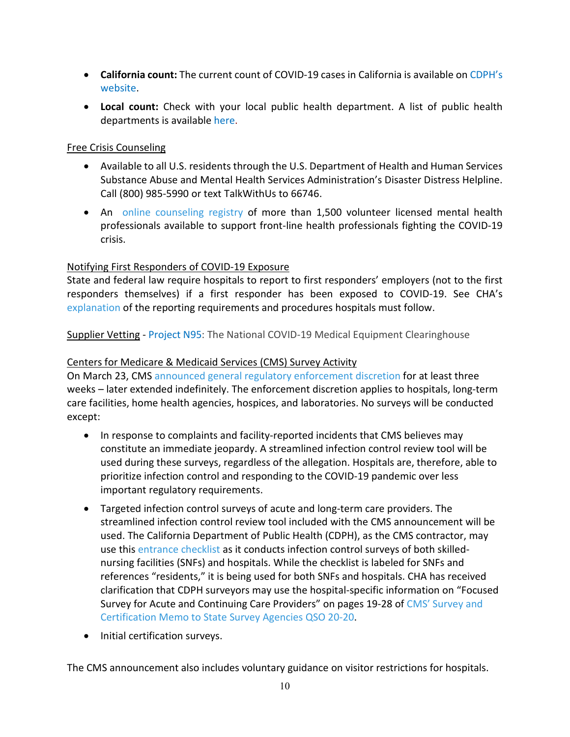- **California count:** The current count of COVID-19 cases in California is available on [CDPH's](http://www.cdph.ca.gov/Programs/CID/DCDC/Pages/Immunization/ncov2019.aspx)  [website.](http://www.cdph.ca.gov/Programs/CID/DCDC/Pages/Immunization/ncov2019.aspx)
- **Local count:** Check with your local public health department. A list of public health departments is available [here.](http://www.cdph.ca.gov/Pages/LocalHealthServicesAndOffices.aspx)

## Free Crisis Counseling

- Available to all U.S. residents through the U.S. Department of Health and Human Services Substance Abuse and Mental Health Services Administration's Disaster Distress Helpline. Call (800) 985-5990 or text TalkWithUs to 66746.
- An [online counseling registry](https://elink.clickdimensions.com/c/6/?T=ODg0NzgzNzQ%3AMDItYjIwMTYyLTllM2ZiOGJhYzY3NTRkNmZiYWZkYzdlYTcxYzJhOWU1%3AY2RldmlAY2FsaG9zcGl0YWwub3Jn%3AY29udGFjdC1mZTVlZGFkMGFmYzllOTExYTg0MjAwMGQzYTNiNGNlZS05OTJmODQ4MzRlOWE0NjE5ODcyNWMwY2VlNjlmMzVhNg%3AZmFsc2U%3AMTI%3A%3AaHR0cHM6Ly9jb3ZpZDE5Y291bnNlbGluZ2NhLm9yZy8_X2NsZGVlPVkyUmxkbWxBWTJGc2FHOXpjR2wwWVd3dWIzSm4mcmVjaXBpZW50aWQ9Y29udGFjdC1mZTVlZGFkMGFmYzllOTExYTg0MjAwMGQzYTNiNGNlZS05OTJmODQ4MzRlOWE0NjE5ODcyNWMwY2VlNjlmMzVhNiZlc2lkPTc5OTEzNjAxLTcwYWItZWExMS1hODEyLTAwMGQzYTM3NWE0ZA&K=lFCq5BjcjzyV1Zb5TdMbng) of more than 1,500 volunteer licensed mental health professionals available to support front-line health professionals fighting the COVID-19 crisis.

## Notifying First Responders of COVID-19 Exposure

State and federal law require hospitals to report to first responders' employers (not to the first responders themselves) if a first responder has been exposed to COVID-19. See CHA's [explanation](https://elink.clickdimensions.com/c/6/?T=ODg0NzgzNzQ%3AMDItYjIwMTU1LWRhYzJhNDRhMmQ5ZjQyOWU4M2FlMTEyMmYzNmE1NTI1%3AY2RldmlAY2FsaG9zcGl0YWwub3Jn%3AY29udGFjdC1mZTVlZGFkMGFmYzllOTExYTg0MjAwMGQzYTNiNGNlZS02ZWRlZThjMDZkYzY0Y2JiYTczYzUzZTcxNWE4M2E2ZA%3AZmFsc2U%3AMQ%3A%3AaHR0cHM6Ly93d3cuY2FsaG9zcGl0YWwub3JnL3NpdGVzL21haW4vZmlsZXMvZmlsZS1hdHRhY2htZW50cy9jb3ZpZF9yZXBvcnRpbmdfZm9yX2hvc3BpdGFsc18wNjAzLnBkZj9fY2xkZWU9WTJSbGRtbEFZMkZzYUc5emNHbDBZV3d1YjNKbiZyZWNpcGllbnRpZD1jb250YWN0LWZlNWVkYWQwYWZjOWU5MTFhODQyMDAwZDNhM2I0Y2VlLTZlZGVlOGMwNmRjNjRjYmJhNzNjNTNlNzE1YTgzYTZkJmVzaWQ9ZWQwZThiYmYtZWZhNS1lYTExLWE4MTItMDAwZDNhM2FiZGNm&K=vurTsjOYkOCda7ZlfA_CBQ) of the reporting requirements and procedures hospitals must follow.

Supplier Vetting - [Project N95:](https://www.projectn95.org/) The National COVID-19 Medical Equipment Clearinghouse

## Centers for Medicare & Medicaid Services (CMS) Survey Activity

On March 23, CMS [announced general regulatory enforcement discretion](https://elink.clickdimensions.com/c/6/?T=ODg0NzgzNzQ%3AMDItYjIwMTI3LWY3NmIyN2VjZjI5NzQzYWI4YzdiNjlkYjBhOWVjZDAz%3AY2RldmlAY2FsaG9zcGl0YWwub3Jn%3AY29udGFjdC1mZTVlZGFkMGFmYzllOTExYTg0MjAwMGQzYTNiNGNlZS1lYjQ5MWU5YzQ1M2M0ODc1YWU0MmQ0OTY2MjM1NzBmNQ%3AZmFsc2U%3AMw%3A%3AaHR0cHM6Ly93d3cuY21zLmdvdi9maWxlcy9kb2N1bWVudC9xc28tMjAtMjAtYWxsLnBkZj9fY2xkZWU9WTJSbGRtbEFZMkZzYUc5emNHbDBZV3d1YjNKbiZyZWNpcGllbnRpZD1jb250YWN0LWZlNWVkYWQwYWZjOWU5MTFhODQyMDAwZDNhM2I0Y2VlLWViNDkxZTljNDUzYzQ4NzVhZTQyZDQ5NjYyMzU3MGY1JmVzaWQ9MWE5ZDIwYmUtZjU4Zi1lYTExLWE4MTEtMDAwZDNhM2FiZGNm&K=WL4OTCzcA1KaVr7BD8VOzg) for at least three weeks – later extended indefinitely. The enforcement discretion applies to hospitals, long-term care facilities, home health agencies, hospices, and laboratories. No surveys will be conducted except:

- In response to complaints and facility-reported incidents that CMS believes may constitute an immediate jeopardy. A streamlined infection control review tool will be used during these surveys, regardless of the allegation. Hospitals are, therefore, able to prioritize infection control and responding to the COVID-19 pandemic over less important regulatory requirements.
- Targeted infection control surveys of acute and long-term care providers. The streamlined infection control review tool included with the CMS announcement will be used. The California Department of Public Health (CDPH), as the CMS contractor, may use this [entrance checklist](https://elink.clickdimensions.com/c/6/?T=ODg0NzgzNzQ%3AMDItYjIwMTI3LWY3NmIyN2VjZjI5NzQzYWI4YzdiNjlkYjBhOWVjZDAz%3AY2RldmlAY2FsaG9zcGl0YWwub3Jn%3AY29udGFjdC1mZTVlZGFkMGFmYzllOTExYTg0MjAwMGQzYTNiNGNlZS1lYjQ5MWU5YzQ1M2M0ODc1YWU0MmQ0OTY2MjM1NzBmNQ%3AZmFsc2U%3ANA%3A%3AaHR0cHM6Ly93d3cuY2FsaG9zcGl0YWwub3JnL3NpdGVzL21haW4vZmlsZXMvZmlsZS1hdHRhY2htZW50cy9lbnRyYW5jZWNvbmZlcmVuY2V3b3Jrc2hlZXRpY19zbmYucGRmP19jbGRlZT1ZMlJsZG1sQVkyRnNhRzl6Y0dsMFlXd3ViM0puJnJlY2lwaWVudGlkPWNvbnRhY3QtZmU1ZWRhZDBhZmM5ZTkxMWE4NDIwMDBkM2EzYjRjZWUtZWI0OTFlOWM0NTNjNDg3NWFlNDJkNDk2NjIzNTcwZjUmZXNpZD0xYTlkMjBiZS1mNThmLWVhMTEtYTgxMS0wMDBkM2EzYWJkY2Y&K=KMTEEqz4SDXaAhJyRjAzbA) as it conducts infection control surveys of both skillednursing facilities (SNFs) and hospitals. While the checklist is labeled for SNFs and references "residents," it is being used for both SNFs and hospitals. CHA has received clarification that CDPH surveyors may use the hospital-specific information on "Focused Survey for Acute and Continuing Care Providers" on pages 19-28 of [CMS' Survey and](https://elink.clickdimensions.com/c/6/?T=ODg0NzgzNzQ%3AMDItYjIwMTI3LWY3NmIyN2VjZjI5NzQzYWI4YzdiNjlkYjBhOWVjZDAz%3AY2RldmlAY2FsaG9zcGl0YWwub3Jn%3AY29udGFjdC1mZTVlZGFkMGFmYzllOTExYTg0MjAwMGQzYTNiNGNlZS1lYjQ5MWU5YzQ1M2M0ODc1YWU0MmQ0OTY2MjM1NzBmNQ%3AZmFsc2U%3ANQ%3A%3AaHR0cHM6Ly93d3cuY21zLmdvdi9maWxlcy9kb2N1bWVudC9xc28tMjAtMjAtYWxscGRmLnBkZj9fY2xkZWU9WTJSbGRtbEFZMkZzYUc5emNHbDBZV3d1YjNKbiZyZWNpcGllbnRpZD1jb250YWN0LWZlNWVkYWQwYWZjOWU5MTFhODQyMDAwZDNhM2I0Y2VlLWViNDkxZTljNDUzYzQ4NzVhZTQyZDQ5NjYyMzU3MGY1JmVzaWQ9MWE5ZDIwYmUtZjU4Zi1lYTExLWE4MTEtMDAwZDNhM2FiZGNm&K=FlUoer3eErbv66wri_2hyw)  [Certification Memo to State Survey Agencies QSO 20-20.](https://elink.clickdimensions.com/c/6/?T=ODg0NzgzNzQ%3AMDItYjIwMTI3LWY3NmIyN2VjZjI5NzQzYWI4YzdiNjlkYjBhOWVjZDAz%3AY2RldmlAY2FsaG9zcGl0YWwub3Jn%3AY29udGFjdC1mZTVlZGFkMGFmYzllOTExYTg0MjAwMGQzYTNiNGNlZS1lYjQ5MWU5YzQ1M2M0ODc1YWU0MmQ0OTY2MjM1NzBmNQ%3AZmFsc2U%3ANQ%3A%3AaHR0cHM6Ly93d3cuY21zLmdvdi9maWxlcy9kb2N1bWVudC9xc28tMjAtMjAtYWxscGRmLnBkZj9fY2xkZWU9WTJSbGRtbEFZMkZzYUc5emNHbDBZV3d1YjNKbiZyZWNpcGllbnRpZD1jb250YWN0LWZlNWVkYWQwYWZjOWU5MTFhODQyMDAwZDNhM2I0Y2VlLWViNDkxZTljNDUzYzQ4NzVhZTQyZDQ5NjYyMzU3MGY1JmVzaWQ9MWE5ZDIwYmUtZjU4Zi1lYTExLWE4MTEtMDAwZDNhM2FiZGNm&K=FlUoer3eErbv66wri_2hyw)
- Initial certification surveys.

The CMS announcement also includes voluntary guidance on visitor restrictions for hospitals.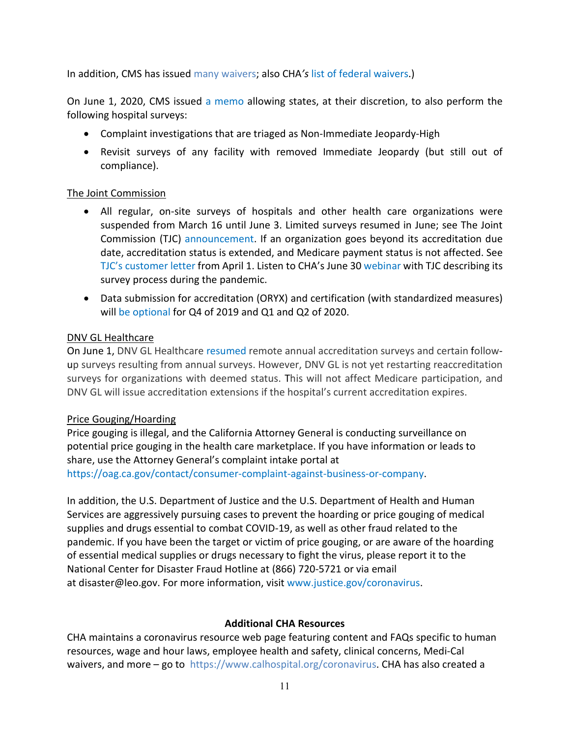In addition, CMS has issued [many waivers;](https://www.cms.gov/files/document/summary-covid-19-emergency-declaration-waivers.pdf) also CHA*'s* [list of federal waivers.](https://www.calhospital.org/sites/main/files/file-attachments/federal_waivers_4-13-20_final.pdf))

On June 1, 2020, CMS issued [a memo](https://www.cms.gov/files/document/qso-20-31-all.pdf) allowing states, at their discretion, to also perform the following hospital surveys:

- Complaint investigations that are triaged as Non-Immediate Jeopardy-High
- Revisit surveys of any facility with removed Immediate Jeopardy (but still out of compliance).

#### The Joint Commission

- All regular, on-site surveys of hospitals and other health care organizations were suspended from March 16 until June 3. Limited surveys resumed in June; see The Joint Commission (TJC) [announcement.](https://www.calhospital.org/sites/main/files/file-attachments/joint_commission_to_resume_surveying_5_27_2020_final.pdf?_cldee=Y2RldmlAY2FsaG9zcGl0YWwub3Jn&recipientid=contact-fe5edad0afc9e911a842000d3a3b4cee-57f6448bc9e94bc69eaf2d6f27a9fb8d&esid=736cc337-fda1-ea11-a812-000d3a375a4d) If an organization goes beyond its accreditation due date, accreditation status is extended, and Medicare payment status is not affected. See [TJC's customer letter](https://www.calhospital.org/sites/main/files/file-attachments/tjc_letter_4_1_2020.pdf) from April 1. Listen to CHA's June 30 [webinar](https://www.calhospital.org/on-demand-learning) with TJC describing its survey process during the pandemic.
- Data submission for accreditation (ORYX) and certification (with standardized measures) [will be optional](https://www.calhospital.org/sites/main/files/file-attachments/tjc_performance_measurement.pdf?_cldee=Y2RldmlAY2FsaG9zcGl0YWwub3Jn&recipientid=contact-fe5edad0afc9e911a842000d3a3b4cee-64d0db26575541ab9d29e55606ec3800&esid=35f42de9-7870-ea11-a811-000d3a3abdcf) for Q4 of 2019 and Q1 and Q2 of 2020.

#### DNV GL Healthcare

On June 1, DNV GL Healthcare [resumed](https://brandcentral.dnvgl.com/original/gallery/10651/files/original/cf5224338c544f1288cd3c6cdf52d605.pdf) remote annual accreditation surveys and certain followup surveys resulting from annual surveys. However, DNV GL is not yet restarting reaccreditation surveys for organizations with deemed status. This will not affect Medicare participation, and DNV GL will issue accreditation extensions if the hospital's current accreditation expires.

#### Price Gouging/Hoarding

Price gouging is illegal, and the California Attorney General is conducting surveillance on potential price gouging in the health care marketplace. If you have information or leads to share, use the Attorney General's complaint intake portal at [https://oag.ca.gov/contact/consumer-complaint-against-business-or-company.](https://oag.ca.gov/contact/consumer-complaint-against-business-or-company)

In addition, the U.S. Department of Justice and the U.S. Department of Health and Human Services are aggressively pursuing cases to prevent the hoarding or price gouging of medical supplies and drugs essential to combat COVID-19, as well as other fraud related to the pandemic. If you have been the target or victim of price gouging, or are aware of the hoarding of essential medical supplies or drugs necessary to fight the virus, please report it to the National Center for Disaster Fraud Hotline at (866) 720-5721 or via email at [disaster@leo.gov.](mailto:disaster@leo.gov) For more information, visit [www.justice.gov/coronavirus.](http://www.justice.gov/coronavirus)

#### **Additional CHA Resources**

CHA maintains a coronavirus resource web page featuring content and FAQs specific to human resources, wage and hour laws, employee health and safety, clinical concerns, Medi-Cal waivers, and more – go to https://www.calhospital.org/coronavirus. CHA has also created a